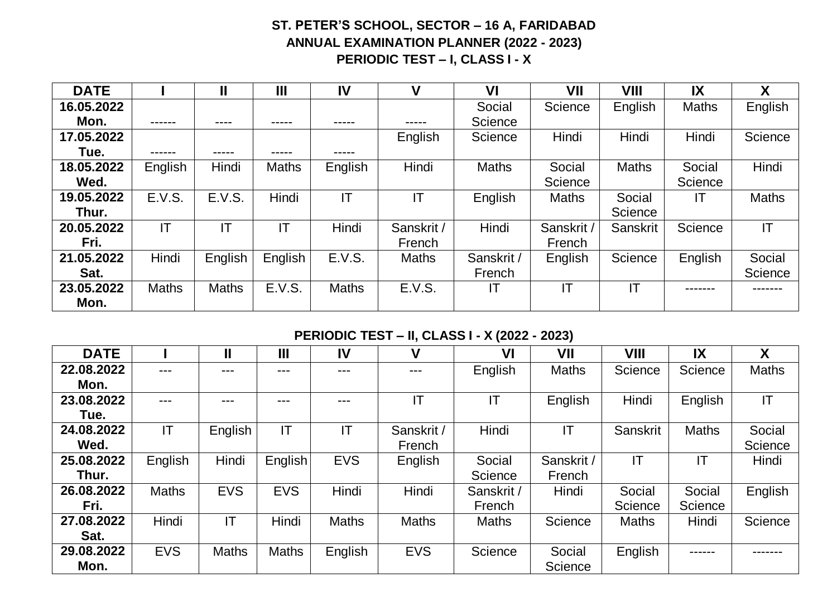## **ST. PETER'S SCHOOL, SECTOR – 16 A, FARIDABAD ANNUAL EXAMINATION PLANNER (2022 - 2023) PERIODIC TEST – I, CLASS I - X**

| <b>DATE</b> |              | Ш            | Ш            | IV           | V            | VI           | VII          | VIII         | IX           | X            |
|-------------|--------------|--------------|--------------|--------------|--------------|--------------|--------------|--------------|--------------|--------------|
| 16.05.2022  |              |              |              |              |              | Social       | Science      | English      | <b>Maths</b> | English      |
| Mon.        | ------       | ----         | -----        | -----        | -----        | Science      |              |              |              |              |
| 17.05.2022  |              |              |              |              | English      | Science      | Hindi        | Hindi        | Hindi        | Science      |
| Tue.        |              | -----        | -----        | -----        |              |              |              |              |              |              |
| 18.05.2022  | English      | Hindi        | <b>Maths</b> | English      | Hindi        | <b>Maths</b> | Social       | <b>Maths</b> | Social       | Hindi        |
| Wed.        |              |              |              |              |              |              | Science      |              | Science      |              |
| 19.05.2022  | E.V.S.       | E.V.S.       | Hindi        | IT           | IT           | English      | <b>Maths</b> | Social       |              | <b>Maths</b> |
| Thur.       |              |              |              |              |              |              |              | Science      |              |              |
| 20.05.2022  | IT           | ΙT           | IT           | Hindi        | Sanskrit /   | Hindi        | Sanskrit /   | Sanskrit     | Science      | IT           |
| Fri.        |              |              |              |              | French       |              | French       |              |              |              |
| 21.05.2022  | Hindi        | English      | English      | E.V.S.       | <b>Maths</b> | Sanskrit /   | English      | Science      | English      | Social       |
| Sat.        |              |              |              |              |              | French       |              |              |              | Science      |
| 23.05.2022  | <b>Maths</b> | <b>Maths</b> | E.V.S.       | <b>Maths</b> | E.V.S.       | ΙT           | ΙT           | ΙT           |              |              |
| Mon.        |              |              |              |              |              |              |              |              |              |              |

## **PERIODIC TEST – II, CLASS I - X (2022 - 2023)**

| <b>DATE</b> |              | Ш            | $\mathbf{III}$ | IV                     | V            | V <sub>l</sub> | VII          | VIII         | IX           | X            |
|-------------|--------------|--------------|----------------|------------------------|--------------|----------------|--------------|--------------|--------------|--------------|
| 22.08.2022  | ---          | ---          | ---            | ---                    | ---          | English        | <b>Maths</b> | Science      | Science      | <b>Maths</b> |
| Mon.        |              |              |                |                        |              |                |              |              |              |              |
| 23.08.2022  | ---          | ---          | ---            | ---                    | IT           | ΙT             | English      | Hindi        | English      | IT           |
| Tue.        |              |              |                |                        |              |                |              |              |              |              |
| 24.08.2022  | IT           | English      | IT             | $\mathsf{I}\mathsf{T}$ | Sanskrit /   | Hindi          | IT           | Sanskrit     | <b>Maths</b> | Social       |
| Wed.        |              |              |                |                        | French       |                |              |              |              | Science      |
| 25.08.2022  | English      | Hindi        | English        | <b>EVS</b>             | English      | Social         | Sanskrit /   | IT           | ΙT           | Hindi        |
| Thur.       |              |              |                |                        |              | Science        | French       |              |              |              |
| 26.08.2022  | <b>Maths</b> | <b>EVS</b>   | <b>EVS</b>     | Hindi                  | Hindi        | Sanskrit /     | Hindi        | Social       | Social       | English      |
| Fri.        |              |              |                |                        |              | French         |              | Science      | Science      |              |
| 27.08.2022  | Hindi        | IT           | Hindi          | <b>Maths</b>           | <b>Maths</b> | <b>Maths</b>   | Science      | <b>Maths</b> | Hindi        | Science      |
| Sat.        |              |              |                |                        |              |                |              |              |              |              |
| 29.08.2022  | <b>EVS</b>   | <b>Maths</b> | <b>Maths</b>   | English                | <b>EVS</b>   | Science        | Social       | English      | ------       |              |
| Mon.        |              |              |                |                        |              |                | Science      |              |              |              |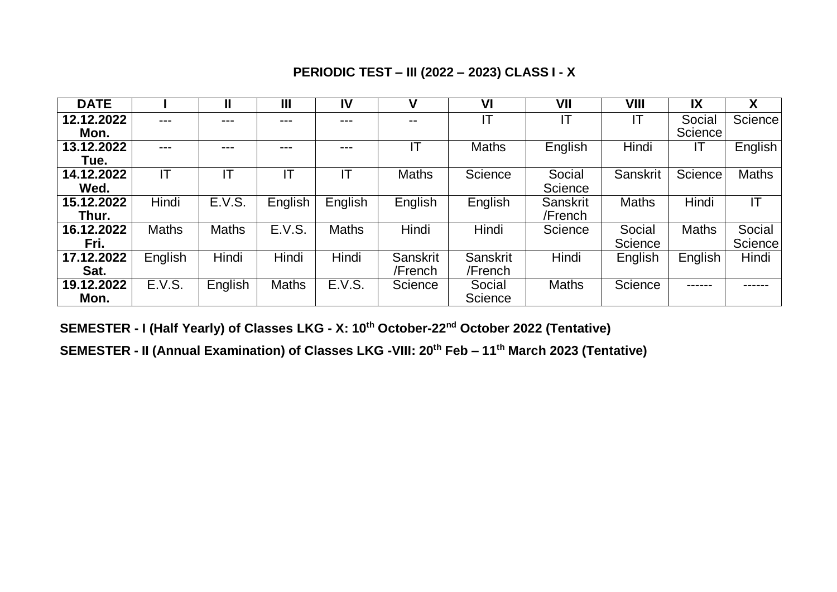## **PERIODIC TEST – III (2022 – 2023) CLASS I - X**

| <b>DATE</b> |              |              | Ш            | IV           | ν            | V <sub>l</sub> | VII             | VIII         | IX             | Χ              |
|-------------|--------------|--------------|--------------|--------------|--------------|----------------|-----------------|--------------|----------------|----------------|
| 12.12.2022  | ---          | ---          | ---          | ---          | $- -$        | IT             | ΙT              | ΙT           | Social         | Science        |
| Mon.        |              |              |              |              |              |                |                 |              | <b>Science</b> |                |
| 13.12.2022  | ---          | ---          | ---          | ---          |              | <b>Maths</b>   | English         | Hindi        | IΤ             | English        |
| Tue.        |              |              |              |              |              |                |                 |              |                |                |
| 14.12.2022  | IT           | IT           | IT           |              | <b>Maths</b> | Science        | Social          | Sanskrit     | Science        | <b>Maths</b>   |
| Wed.        |              |              |              |              |              |                | Science         |              |                |                |
| 15.12.2022  | Hindi        | E.V.S.       | English      | English      | English      | English        | <b>Sanskrit</b> | <b>Maths</b> | Hindi          | IT             |
| Thur.       |              |              |              |              |              |                | /French         |              |                |                |
| 16.12.2022  | <b>Maths</b> | <b>Maths</b> | E.V.S.       | <b>Maths</b> | Hindi        | Hindi          | Science         | Social       | <b>Maths</b>   | Social         |
| Fri.        |              |              |              |              |              |                |                 | Science      |                | <b>Science</b> |
| 17.12.2022  | English      | Hindi        | Hindi        | Hindi        | Sanskrit     | Sanskrit       | Hindi           | English      | English        | Hindi          |
| Sat.        |              |              |              |              | /French      | /French        |                 |              |                |                |
| 19.12.2022  | E.V.S.       | English      | <b>Maths</b> | E.V.S.       | Science      | Social         | <b>Maths</b>    | Science      |                | ------         |
| Mon.        |              |              |              |              |              | Science        |                 |              |                |                |

**SEMESTER - I (Half Yearly) of Classes LKG - X: 10th October-22nd October 2022 (Tentative)**

**SEMESTER - II (Annual Examination) of Classes LKG -VIII: 20th Feb – 11th March 2023 (Tentative)**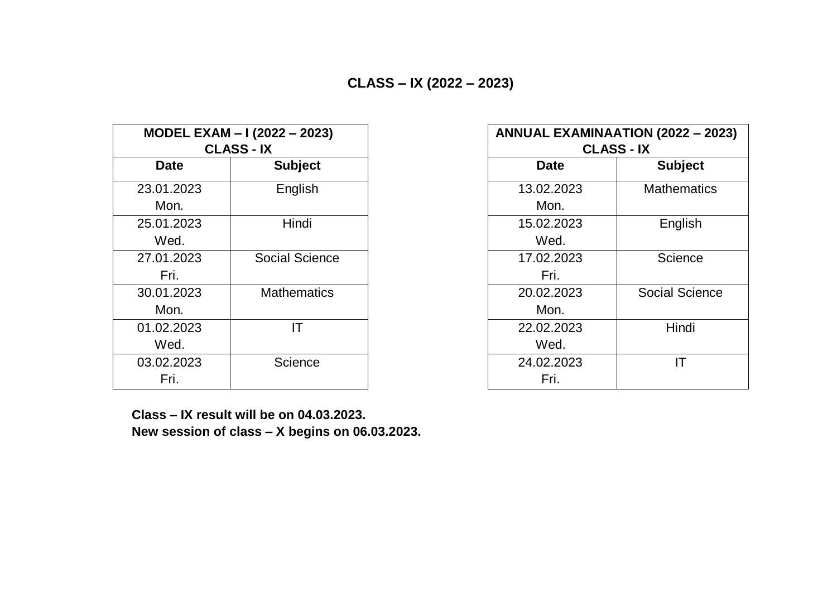|             | MODEL EXAM - I (2022 - 2023) | <b>ANNUAL EXAI</b> |
|-------------|------------------------------|--------------------|
|             | <b>CLASS - IX</b>            |                    |
| <b>Date</b> | <b>Subject</b>               | <b>Date</b>        |
| 23.01.2023  | English                      | 13.02.2023         |
| Mon.        |                              | Mon.               |
| 25.01.2023  | Hindi                        | 15.02.2023         |
| Wed.        |                              | Wed.               |
| 27.01.2023  | <b>Social Science</b>        | 17.02.2023         |
| Fri.        |                              | Fri.               |
| 30.01.2023  | <b>Mathematics</b>           | 20.02.2023         |
| Mon.        |                              | Mon.               |
| 01.02.2023  | ΙT                           | 22.02.2023         |
| Wed.        |                              | Wed.               |
| 03.02.2023  | Science                      | 24.02.2023         |
| Fri.        |                              | Fri.               |

|             | <b>ODEL EXAM - I (2022 - 2023)</b><br><b>CLASS - IX</b> | <b>ANNUAL EXAMINAATION (2022 - 2023)</b><br><b>CLASS - IX</b> |                       |
|-------------|---------------------------------------------------------|---------------------------------------------------------------|-----------------------|
| <b>Date</b> | <b>Subject</b>                                          | <b>Date</b>                                                   | <b>Subject</b>        |
| 01.2023     | English                                                 | 13.02.2023                                                    | <b>Mathematics</b>    |
| Mon.        |                                                         | Mon.                                                          |                       |
| 01.2023     | Hindi                                                   | 15.02.2023                                                    | English               |
| Wed.        |                                                         | Wed.                                                          |                       |
| 01.2023     | <b>Social Science</b>                                   | 17.02.2023                                                    | Science               |
| Fri.        |                                                         | Fri.                                                          |                       |
| 01.2023     | <b>Mathematics</b>                                      | 20.02.2023                                                    | <b>Social Science</b> |
| Mon.        |                                                         | Mon.                                                          |                       |
| 02.2023     | ΙT                                                      | 22.02.2023                                                    | Hindi                 |
| Wed.        |                                                         | Wed.                                                          |                       |
| 02.2023     | Science                                                 | 24.02.2023                                                    | IT                    |
| Fri.        |                                                         | Fri.                                                          |                       |

 **Class – IX result will be on 04.03.2023. New session of class – X begins on 06.03.2023.**